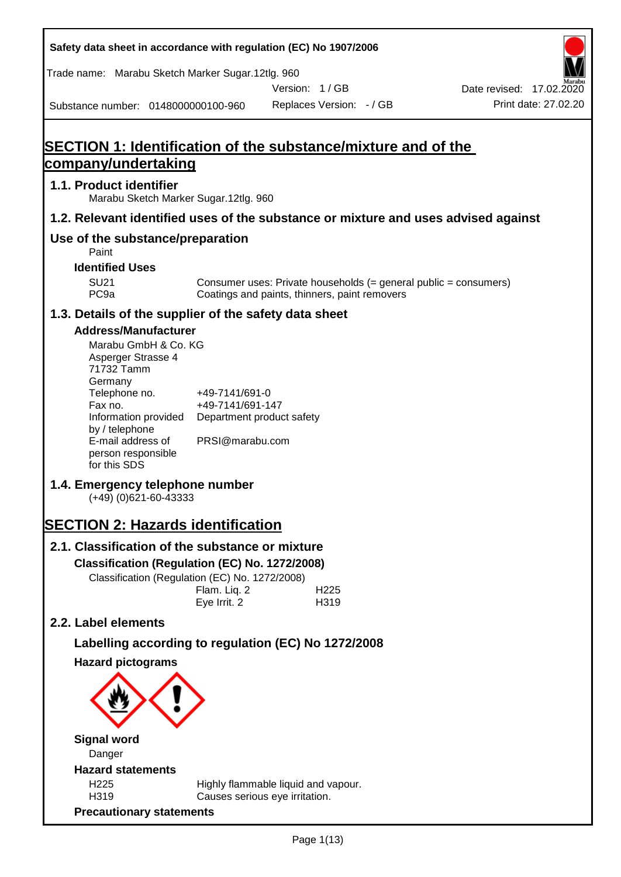| Safety data sheet in accordance with regulation (EC) No 1907/2006                                                                                                                                                                                                                                                                                                                                                                                                                                    |                                                                                                    |                                                                                                                   |                                                  |
|------------------------------------------------------------------------------------------------------------------------------------------------------------------------------------------------------------------------------------------------------------------------------------------------------------------------------------------------------------------------------------------------------------------------------------------------------------------------------------------------------|----------------------------------------------------------------------------------------------------|-------------------------------------------------------------------------------------------------------------------|--------------------------------------------------|
| Trade name: Marabu Sketch Marker Sugar.12tlg. 960                                                                                                                                                                                                                                                                                                                                                                                                                                                    |                                                                                                    |                                                                                                                   |                                                  |
| Substance number: 0148000000100-960                                                                                                                                                                                                                                                                                                                                                                                                                                                                  |                                                                                                    | Version: 1/GB<br>Replaces Version: - / GB                                                                         | Date revised: 17.02.2020<br>Print date: 27.02.20 |
|                                                                                                                                                                                                                                                                                                                                                                                                                                                                                                      |                                                                                                    |                                                                                                                   |                                                  |
| <b>SECTION 1: Identification of the substance/mixture and of the</b>                                                                                                                                                                                                                                                                                                                                                                                                                                 |                                                                                                    |                                                                                                                   |                                                  |
| company/undertaking                                                                                                                                                                                                                                                                                                                                                                                                                                                                                  |                                                                                                    |                                                                                                                   |                                                  |
| 1.1. Product identifier<br>Marabu Sketch Marker Sugar.12tlg. 960                                                                                                                                                                                                                                                                                                                                                                                                                                     |                                                                                                    |                                                                                                                   |                                                  |
| 1.2. Relevant identified uses of the substance or mixture and uses advised against                                                                                                                                                                                                                                                                                                                                                                                                                   |                                                                                                    |                                                                                                                   |                                                  |
| Use of the substance/preparation<br>Paint                                                                                                                                                                                                                                                                                                                                                                                                                                                            |                                                                                                    |                                                                                                                   |                                                  |
| <b>Identified Uses</b>                                                                                                                                                                                                                                                                                                                                                                                                                                                                               |                                                                                                    |                                                                                                                   |                                                  |
| <b>SU21</b><br>PC <sub>9a</sub>                                                                                                                                                                                                                                                                                                                                                                                                                                                                      |                                                                                                    | Consumer uses: Private households (= general public = consumers)<br>Coatings and paints, thinners, paint removers |                                                  |
| 1.3. Details of the supplier of the safety data sheet                                                                                                                                                                                                                                                                                                                                                                                                                                                |                                                                                                    |                                                                                                                   |                                                  |
| <b>Address/Manufacturer</b><br>Marabu GmbH & Co. KG<br>Asperger Strasse 4<br>71732 Tamm<br>Germany<br>Telephone no.<br>Fax no.<br>Information provided<br>by / telephone<br>E-mail address of<br>person responsible<br>for this SDS<br>1.4. Emergency telephone number<br>$(+49)$ (0)621-60-43333<br><b>SECTION 2: Hazards identification</b><br>2.1. Classification of the substance or mixture<br>Classification (Regulation (EC) No. 1272/2008)<br>Classification (Regulation (EC) No. 1272/2008) | +49-7141/691-0<br>+49-7141/691-147<br>Department product safety<br>PRSI@marabu.com<br>Flam. Liq. 2 | H <sub>225</sub>                                                                                                  |                                                  |
| 2.2. Label elements                                                                                                                                                                                                                                                                                                                                                                                                                                                                                  | Eye Irrit. 2                                                                                       | H319                                                                                                              |                                                  |
|                                                                                                                                                                                                                                                                                                                                                                                                                                                                                                      |                                                                                                    |                                                                                                                   |                                                  |
| Labelling according to regulation (EC) No 1272/2008                                                                                                                                                                                                                                                                                                                                                                                                                                                  |                                                                                                    |                                                                                                                   |                                                  |
| <b>Hazard pictograms</b>                                                                                                                                                                                                                                                                                                                                                                                                                                                                             |                                                                                                    |                                                                                                                   |                                                  |
| <b>Signal word</b>                                                                                                                                                                                                                                                                                                                                                                                                                                                                                   |                                                                                                    |                                                                                                                   |                                                  |
| Danger                                                                                                                                                                                                                                                                                                                                                                                                                                                                                               |                                                                                                    |                                                                                                                   |                                                  |
| <b>Hazard statements</b><br>H <sub>225</sub>                                                                                                                                                                                                                                                                                                                                                                                                                                                         |                                                                                                    |                                                                                                                   |                                                  |
| H319                                                                                                                                                                                                                                                                                                                                                                                                                                                                                                 | Causes serious eye irritation.                                                                     | Highly flammable liquid and vapour.                                                                               |                                                  |
| <b>Precautionary statements</b>                                                                                                                                                                                                                                                                                                                                                                                                                                                                      |                                                                                                    |                                                                                                                   |                                                  |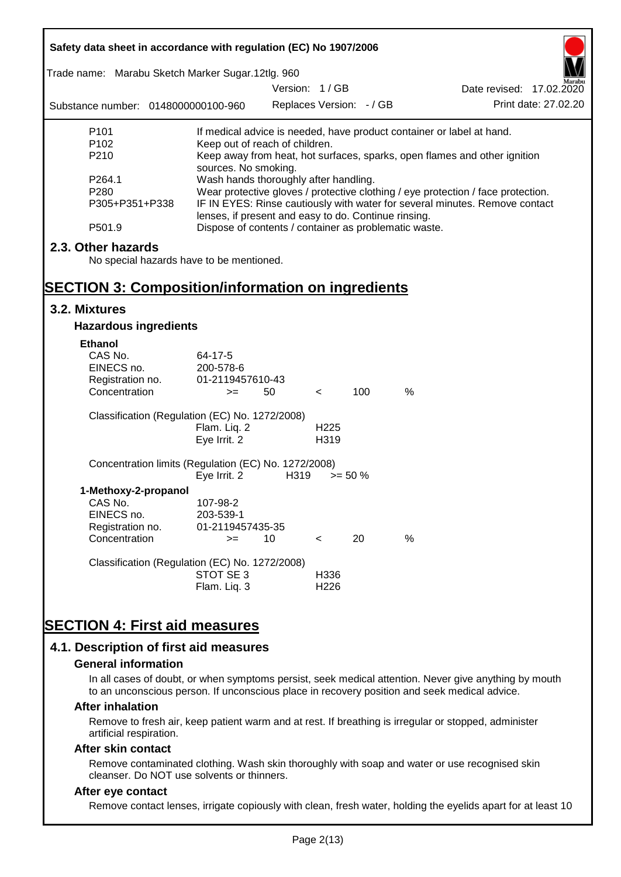| Safety data sheet in accordance with regulation (EC) No 1907/2006                                                          |                                                                                                                                                                                                                                  |                          |                          |            |                                                                           |  |  |
|----------------------------------------------------------------------------------------------------------------------------|----------------------------------------------------------------------------------------------------------------------------------------------------------------------------------------------------------------------------------|--------------------------|--------------------------|------------|---------------------------------------------------------------------------|--|--|
| Trade name: Marabu Sketch Marker Sugar.12tlg. 960                                                                          |                                                                                                                                                                                                                                  | Version: 1/GB            |                          |            | Date revised: 17.02.2020                                                  |  |  |
| Substance number: 0148000000100-960                                                                                        |                                                                                                                                                                                                                                  | Replaces Version: - / GB |                          |            | Print date: 27,02.20                                                      |  |  |
| P <sub>101</sub>                                                                                                           |                                                                                                                                                                                                                                  |                          |                          |            | If medical advice is needed, have product container or label at hand.     |  |  |
| P <sub>102</sub><br>P210                                                                                                   | Keep out of reach of children.                                                                                                                                                                                                   |                          |                          |            | Keep away from heat, hot surfaces, sparks, open flames and other ignition |  |  |
| P264.1<br>P280<br>P305+P351+P338                                                                                           | sources. No smoking.<br>Wash hands thoroughly after handling.<br>Wear protective gloves / protective clothing / eye protection / face protection.<br>IF IN EYES: Rinse cautiously with water for several minutes. Remove contact |                          |                          |            |                                                                           |  |  |
| P501.9                                                                                                                     | lenses, if present and easy to do. Continue rinsing.                                                                                                                                                                             |                          |                          |            | Dispose of contents / container as problematic waste.                     |  |  |
| 2.3. Other hazards<br>No special hazards have to be mentioned.<br><b>SECTION 3: Composition/information on ingredients</b> |                                                                                                                                                                                                                                  |                          |                          |            |                                                                           |  |  |
| 3.2. Mixtures                                                                                                              |                                                                                                                                                                                                                                  |                          |                          |            |                                                                           |  |  |
| <b>Hazardous ingredients</b>                                                                                               |                                                                                                                                                                                                                                  |                          |                          |            |                                                                           |  |  |
| <b>Ethanol</b><br>CAS No.<br>EINECS no.<br>Registration no.<br>Concentration                                               | 64-17-5<br>200-578-6<br>01-2119457610-43<br>$>=$                                                                                                                                                                                 | 50                       | $\,<\,$                  | 100        | $\%$                                                                      |  |  |
| Classification (Regulation (EC) No. 1272/2008)                                                                             | Flam. Liq. 2<br>Eye Irrit. 2                                                                                                                                                                                                     |                          | H <sub>225</sub><br>H319 |            |                                                                           |  |  |
| Concentration limits (Regulation (EC) No. 1272/2008)                                                                       | Eye Irrit. 2                                                                                                                                                                                                                     | H319                     |                          | $>= 50 \%$ |                                                                           |  |  |
| 1-Methoxy-2-propanol<br>CAS No.<br>EINECS no.<br>Registration no.                                                          | 107-98-2<br>203-539-1<br>01-2119457435-35                                                                                                                                                                                        |                          |                          |            |                                                                           |  |  |
| Concentration                                                                                                              | $>=$                                                                                                                                                                                                                             | 10                       | $\,<\,$                  | 20         | %                                                                         |  |  |
| Classification (Regulation (EC) No. 1272/2008)                                                                             | STOT SE3<br>Flam. Liq. 3                                                                                                                                                                                                         |                          | H336<br>H <sub>226</sub> |            |                                                                           |  |  |
| <b>SECTION 4: First aid measures</b><br>4.1. Description of first aid measures                                             |                                                                                                                                                                                                                                  |                          |                          |            |                                                                           |  |  |

#### **General information**

In all cases of doubt, or when symptoms persist, seek medical attention. Never give anything by mouth to an unconscious person. If unconscious place in recovery position and seek medical advice.

#### **After inhalation**

Remove to fresh air, keep patient warm and at rest. If breathing is irregular or stopped, administer artificial respiration.

#### **After skin contact**

Remove contaminated clothing. Wash skin thoroughly with soap and water or use recognised skin cleanser. Do NOT use solvents or thinners.

### **After eye contact**

Remove contact lenses, irrigate copiously with clean, fresh water, holding the eyelids apart for at least 10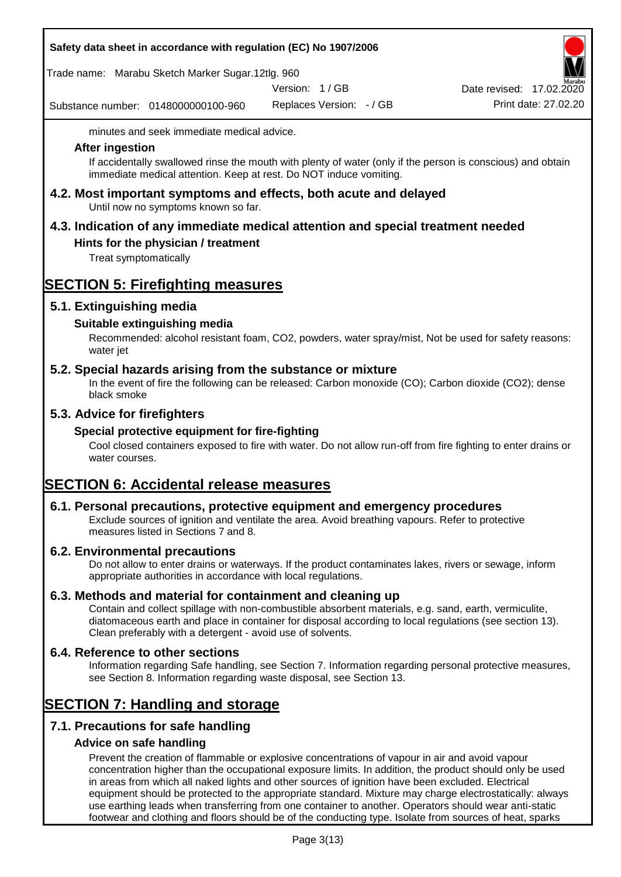|  |  |  | Safety data sheet in accordance with regulation (EC) No 1907/2006 |
|--|--|--|-------------------------------------------------------------------|
|--|--|--|-------------------------------------------------------------------|

Trade name: Marabu Sketch Marker Sugar.12tlg. 960

Version: 1 / GB

Substance number: 0148000000100-960

Replaces Version: - / GB Print date: 27.02.20 Date revised: 17.02.2020

minutes and seek immediate medical advice.

#### **After ingestion**

If accidentally swallowed rinse the mouth with plenty of water (only if the person is conscious) and obtain immediate medical attention. Keep at rest. Do NOT induce vomiting.

**4.2. Most important symptoms and effects, both acute and delayed** Until now no symptoms known so far.

# **4.3. Indication of any immediate medical attention and special treatment needed**

### **Hints for the physician / treatment**

Treat symptomatically

## **SECTION 5: Firefighting measures**

### **5.1. Extinguishing media**

### **Suitable extinguishing media**

Recommended: alcohol resistant foam, CO2, powders, water spray/mist, Not be used for safety reasons: water jet

### **5.2. Special hazards arising from the substance or mixture**

In the event of fire the following can be released: Carbon monoxide (CO); Carbon dioxide (CO2); dense black smoke

### **5.3. Advice for firefighters**

#### **Special protective equipment for fire-fighting**

Cool closed containers exposed to fire with water. Do not allow run-off from fire fighting to enter drains or water courses.

## **SECTION 6: Accidental release measures**

#### **6.1. Personal precautions, protective equipment and emergency procedures**

Exclude sources of ignition and ventilate the area. Avoid breathing vapours. Refer to protective measures listed in Sections 7 and 8.

#### **6.2. Environmental precautions**

Do not allow to enter drains or waterways. If the product contaminates lakes, rivers or sewage, inform appropriate authorities in accordance with local regulations.

#### **6.3. Methods and material for containment and cleaning up**

Contain and collect spillage with non-combustible absorbent materials, e.g. sand, earth, vermiculite, diatomaceous earth and place in container for disposal according to local regulations (see section 13). Clean preferably with a detergent - avoid use of solvents.

#### **6.4. Reference to other sections**

Information regarding Safe handling, see Section 7. Information regarding personal protective measures, see Section 8. Information regarding waste disposal, see Section 13.

## **SECTION 7: Handling and storage**

## **7.1. Precautions for safe handling**

#### **Advice on safe handling**

Prevent the creation of flammable or explosive concentrations of vapour in air and avoid vapour concentration higher than the occupational exposure limits. In addition, the product should only be used in areas from which all naked lights and other sources of ignition have been excluded. Electrical equipment should be protected to the appropriate standard. Mixture may charge electrostatically: always use earthing leads when transferring from one container to another. Operators should wear anti-static footwear and clothing and floors should be of the conducting type. Isolate from sources of heat, sparks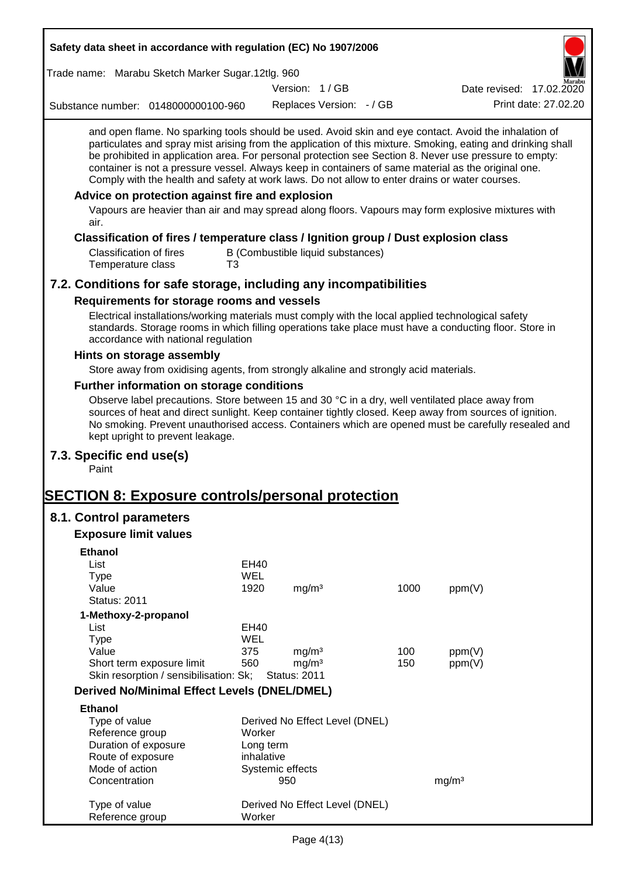| Safety data sheet in accordance with regulation (EC) No 1907/2006                                                                                                                                                                                                                                                                                                                                                                                                                                                                        |             |                                          |                                   |      |                          |  |
|------------------------------------------------------------------------------------------------------------------------------------------------------------------------------------------------------------------------------------------------------------------------------------------------------------------------------------------------------------------------------------------------------------------------------------------------------------------------------------------------------------------------------------------|-------------|------------------------------------------|-----------------------------------|------|--------------------------|--|
| Trade name: Marabu Sketch Marker Sugar.12tlg. 960                                                                                                                                                                                                                                                                                                                                                                                                                                                                                        |             |                                          |                                   |      |                          |  |
|                                                                                                                                                                                                                                                                                                                                                                                                                                                                                                                                          |             | Version: 1/GB                            |                                   |      | Date revised: 17.02.2020 |  |
| Substance number: 0148000000100-960                                                                                                                                                                                                                                                                                                                                                                                                                                                                                                      |             |                                          | Replaces Version: - / GB          |      | Print date: 27.02.20     |  |
| and open flame. No sparking tools should be used. Avoid skin and eye contact. Avoid the inhalation of<br>particulates and spray mist arising from the application of this mixture. Smoking, eating and drinking shall<br>be prohibited in application area. For personal protection see Section 8. Never use pressure to empty:<br>container is not a pressure vessel. Always keep in containers of same material as the original one.<br>Comply with the health and safety at work laws. Do not allow to enter drains or water courses. |             |                                          |                                   |      |                          |  |
| Advice on protection against fire and explosion<br>Vapours are heavier than air and may spread along floors. Vapours may form explosive mixtures with<br>air.                                                                                                                                                                                                                                                                                                                                                                            |             |                                          |                                   |      |                          |  |
| Classification of fires / temperature class / Ignition group / Dust explosion class<br><b>Classification of fires</b>                                                                                                                                                                                                                                                                                                                                                                                                                    |             |                                          | B (Combustible liquid substances) |      |                          |  |
| Temperature class                                                                                                                                                                                                                                                                                                                                                                                                                                                                                                                        | T3          |                                          |                                   |      |                          |  |
| 7.2. Conditions for safe storage, including any incompatibilities                                                                                                                                                                                                                                                                                                                                                                                                                                                                        |             |                                          |                                   |      |                          |  |
| Requirements for storage rooms and vessels                                                                                                                                                                                                                                                                                                                                                                                                                                                                                               |             |                                          |                                   |      |                          |  |
| Electrical installations/working materials must comply with the local applied technological safety<br>standards. Storage rooms in which filling operations take place must have a conducting floor. Store in<br>accordance with national regulation                                                                                                                                                                                                                                                                                      |             |                                          |                                   |      |                          |  |
| Hints on storage assembly                                                                                                                                                                                                                                                                                                                                                                                                                                                                                                                |             |                                          |                                   |      |                          |  |
| Store away from oxidising agents, from strongly alkaline and strongly acid materials.                                                                                                                                                                                                                                                                                                                                                                                                                                                    |             |                                          |                                   |      |                          |  |
| Further information on storage conditions<br>Observe label precautions. Store between 15 and 30 °C in a dry, well ventilated place away from<br>sources of heat and direct sunlight. Keep container tightly closed. Keep away from sources of ignition.<br>No smoking. Prevent unauthorised access. Containers which are opened must be carefully resealed and<br>kept upright to prevent leakage.                                                                                                                                       |             |                                          |                                   |      |                          |  |
| 7.3. Specific end use(s)<br>Paint                                                                                                                                                                                                                                                                                                                                                                                                                                                                                                        |             |                                          |                                   |      |                          |  |
| <b>SECTION 8: Exposure controls/personal protection</b>                                                                                                                                                                                                                                                                                                                                                                                                                                                                                  |             |                                          |                                   |      |                          |  |
| 8.1. Control parameters                                                                                                                                                                                                                                                                                                                                                                                                                                                                                                                  |             |                                          |                                   |      |                          |  |
| <b>Exposure limit values</b>                                                                                                                                                                                                                                                                                                                                                                                                                                                                                                             |             |                                          |                                   |      |                          |  |
| <b>Ethanol</b>                                                                                                                                                                                                                                                                                                                                                                                                                                                                                                                           |             |                                          |                                   |      |                          |  |
| List                                                                                                                                                                                                                                                                                                                                                                                                                                                                                                                                     | <b>EH40</b> |                                          |                                   |      |                          |  |
| <b>Type</b>                                                                                                                                                                                                                                                                                                                                                                                                                                                                                                                              | <b>WEL</b>  |                                          |                                   |      |                          |  |
| Value<br><b>Status: 2011</b>                                                                                                                                                                                                                                                                                                                                                                                                                                                                                                             | 1920        | mg/m <sup>3</sup>                        |                                   | 1000 | ppm(V)                   |  |
| 1-Methoxy-2-propanol                                                                                                                                                                                                                                                                                                                                                                                                                                                                                                                     |             |                                          |                                   |      |                          |  |
| List                                                                                                                                                                                                                                                                                                                                                                                                                                                                                                                                     | EH40        |                                          |                                   |      |                          |  |
| <b>Type</b>                                                                                                                                                                                                                                                                                                                                                                                                                                                                                                                              | WEL         |                                          |                                   |      |                          |  |
| Value                                                                                                                                                                                                                                                                                                                                                                                                                                                                                                                                    | 375         | mg/m <sup>3</sup>                        |                                   | 100  | ppm(V)                   |  |
| Short term exposure limit<br>Skin resorption / sensibilisation: Sk;                                                                                                                                                                                                                                                                                                                                                                                                                                                                      | 560         | mg/m <sup>3</sup><br><b>Status: 2011</b> |                                   | 150  | ppm(V)                   |  |
| <b>Derived No/Minimal Effect Levels (DNEL/DMEL)</b>                                                                                                                                                                                                                                                                                                                                                                                                                                                                                      |             |                                          |                                   |      |                          |  |
| <b>Ethanol</b>                                                                                                                                                                                                                                                                                                                                                                                                                                                                                                                           |             |                                          |                                   |      |                          |  |
| Type of value                                                                                                                                                                                                                                                                                                                                                                                                                                                                                                                            |             |                                          | Derived No Effect Level (DNEL)    |      |                          |  |
| Reference group                                                                                                                                                                                                                                                                                                                                                                                                                                                                                                                          | Worker      |                                          |                                   |      |                          |  |
| Duration of exposure                                                                                                                                                                                                                                                                                                                                                                                                                                                                                                                     |             | Long term                                |                                   |      |                          |  |
| Route of exposure                                                                                                                                                                                                                                                                                                                                                                                                                                                                                                                        | inhalative  |                                          |                                   |      |                          |  |
| Mode of action<br>Concentration                                                                                                                                                                                                                                                                                                                                                                                                                                                                                                          |             | Systemic effects<br>950                  |                                   |      | mg/m <sup>3</sup>        |  |
|                                                                                                                                                                                                                                                                                                                                                                                                                                                                                                                                          |             |                                          |                                   |      |                          |  |
| Type of value<br>Reference group                                                                                                                                                                                                                                                                                                                                                                                                                                                                                                         | Worker      |                                          | Derived No Effect Level (DNEL)    |      |                          |  |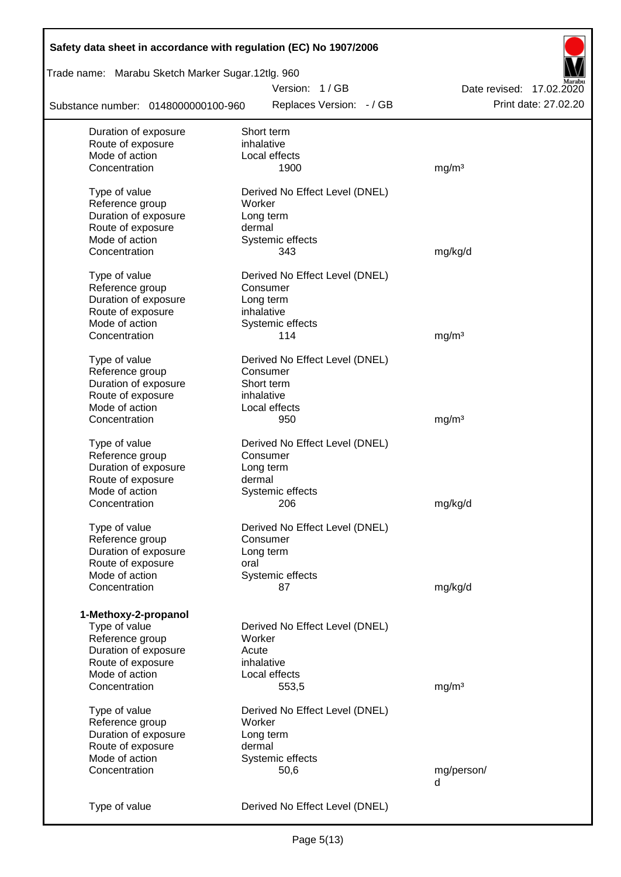| Safety data sheet in accordance with regulation (EC) No 1907/2006 |                                |                          |
|-------------------------------------------------------------------|--------------------------------|--------------------------|
| Trade name: Marabu Sketch Marker Sugar.12tlg. 960                 |                                |                          |
|                                                                   | Version: 1/GB                  | Date revised: 17.02.2020 |
| Substance number: 0148000000100-960                               | Replaces Version: - / GB       | Print date: 27.02.20     |
| Duration of exposure                                              | Short term                     |                          |
| Route of exposure                                                 | inhalative                     |                          |
| Mode of action                                                    | Local effects                  |                          |
| Concentration                                                     | 1900                           | mg/m <sup>3</sup>        |
| Type of value                                                     | Derived No Effect Level (DNEL) |                          |
| Reference group                                                   | Worker                         |                          |
| Duration of exposure                                              | Long term                      |                          |
| Route of exposure                                                 | dermal                         |                          |
| Mode of action                                                    | Systemic effects               |                          |
| Concentration                                                     | 343                            | mg/kg/d                  |
|                                                                   |                                |                          |
| Type of value                                                     | Derived No Effect Level (DNEL) |                          |
| Reference group                                                   | Consumer                       |                          |
| Duration of exposure                                              | Long term                      |                          |
| Route of exposure                                                 | inhalative                     |                          |
| Mode of action                                                    | Systemic effects               |                          |
| Concentration                                                     | 114                            | mg/m <sup>3</sup>        |
| Type of value                                                     | Derived No Effect Level (DNEL) |                          |
| Reference group                                                   | Consumer                       |                          |
| Duration of exposure                                              | Short term                     |                          |
| Route of exposure                                                 | inhalative                     |                          |
| Mode of action                                                    | Local effects                  |                          |
| Concentration                                                     | 950                            | mg/m <sup>3</sup>        |
|                                                                   |                                |                          |
| Type of value                                                     | Derived No Effect Level (DNEL) |                          |
| Reference group                                                   | Consumer                       |                          |
| Duration of exposure                                              | Long term                      |                          |
| Route of exposure                                                 | dermal                         |                          |
| Mode of action                                                    | Systemic effects               |                          |
| Concentration                                                     | 206                            | mg/kg/d                  |
| Type of value                                                     | Derived No Effect Level (DNEL) |                          |
| Reference group                                                   | Consumer                       |                          |
| Duration of exposure                                              | Long term                      |                          |
| Route of exposure                                                 | oral                           |                          |
| Mode of action                                                    | Systemic effects               |                          |
| Concentration                                                     | 87                             | mg/kg/d                  |
|                                                                   |                                |                          |
| 1-Methoxy-2-propanol                                              |                                |                          |
| Type of value                                                     | Derived No Effect Level (DNEL) |                          |
| Reference group                                                   | Worker                         |                          |
| Duration of exposure                                              | Acute                          |                          |
| Route of exposure                                                 | inhalative                     |                          |
| Mode of action                                                    | Local effects                  |                          |
| Concentration                                                     | 553,5                          | mg/m <sup>3</sup>        |
|                                                                   |                                |                          |
| Type of value                                                     | Derived No Effect Level (DNEL) |                          |
| Reference group                                                   | Worker                         |                          |
| Duration of exposure                                              | Long term                      |                          |
| Route of exposure                                                 | dermal                         |                          |
| Mode of action                                                    | Systemic effects               |                          |
| Concentration                                                     | 50,6                           | mg/person/               |
|                                                                   |                                | d                        |
| Type of value                                                     | Derived No Effect Level (DNEL) |                          |
|                                                                   |                                |                          |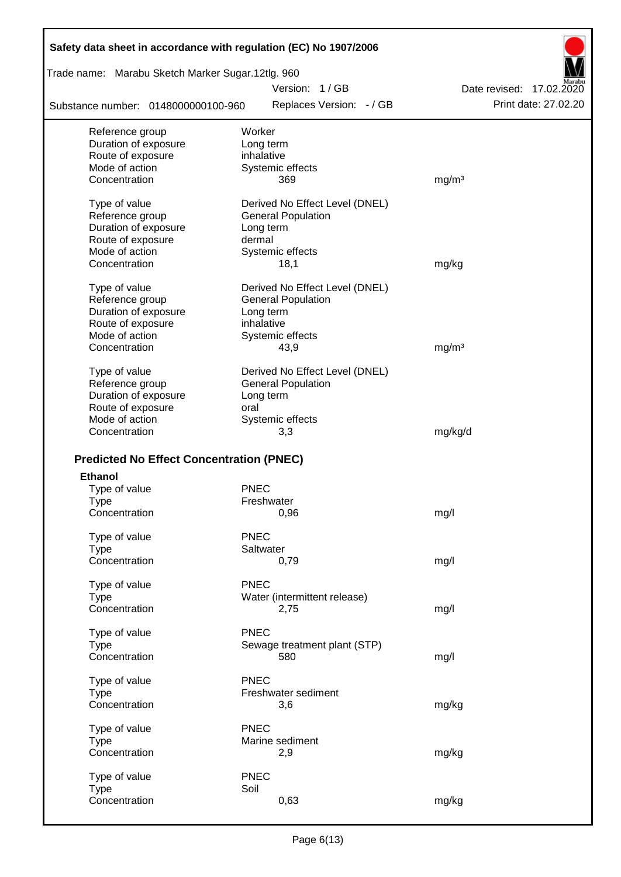| Safety data sheet in accordance with regulation (EC) No 1907/2006 |                                |                          |
|-------------------------------------------------------------------|--------------------------------|--------------------------|
| Trade name: Marabu Sketch Marker Sugar.12tlg. 960                 |                                |                          |
|                                                                   | Version: 1/GB                  | Date revised: 17.02.2020 |
| Substance number: 0148000000100-960                               | Replaces Version: - / GB       | Print date: 27.02.20     |
| Reference group                                                   | Worker                         |                          |
| Duration of exposure                                              | Long term                      |                          |
| Route of exposure                                                 | inhalative                     |                          |
| Mode of action                                                    | Systemic effects               |                          |
| Concentration                                                     | 369                            | mg/m <sup>3</sup>        |
| Type of value                                                     | Derived No Effect Level (DNEL) |                          |
| Reference group                                                   | <b>General Population</b>      |                          |
| Duration of exposure                                              | Long term                      |                          |
| Route of exposure                                                 | dermal                         |                          |
| Mode of action                                                    | Systemic effects               |                          |
| Concentration                                                     | 18,1                           | mg/kg                    |
| Type of value                                                     | Derived No Effect Level (DNEL) |                          |
| Reference group                                                   | <b>General Population</b>      |                          |
| Duration of exposure                                              | Long term                      |                          |
| Route of exposure                                                 | inhalative                     |                          |
| Mode of action                                                    | Systemic effects               |                          |
| Concentration                                                     | 43,9                           | mg/m <sup>3</sup>        |
| Type of value                                                     | Derived No Effect Level (DNEL) |                          |
| Reference group                                                   | <b>General Population</b>      |                          |
| Duration of exposure                                              | Long term                      |                          |
| Route of exposure                                                 | oral                           |                          |
| Mode of action                                                    | Systemic effects               |                          |
| Concentration                                                     | 3,3                            | mg/kg/d                  |
|                                                                   |                                |                          |
| <b>Predicted No Effect Concentration (PNEC)</b>                   |                                |                          |
| <b>Ethanol</b>                                                    |                                |                          |
| Type of value                                                     | <b>PNEC</b>                    |                          |
| Type                                                              | Freshwater                     |                          |
| Concentration                                                     | 0,96                           | mg/l                     |
| Type of value                                                     | <b>PNEC</b>                    |                          |
| <b>Type</b>                                                       | Saltwater                      |                          |
| Concentration                                                     | 0,79                           | mg/l                     |
| Type of value                                                     | <b>PNEC</b>                    |                          |
| <b>Type</b>                                                       | Water (intermittent release)   |                          |
| Concentration                                                     | 2,75                           | mg/l                     |
| Type of value                                                     | <b>PNEC</b>                    |                          |
| <b>Type</b>                                                       | Sewage treatment plant (STP)   |                          |
| Concentration                                                     | 580                            | mg/l                     |
| Type of value                                                     | <b>PNEC</b>                    |                          |
| <b>Type</b>                                                       | Freshwater sediment            |                          |
| Concentration                                                     | 3,6                            | mg/kg                    |
|                                                                   | <b>PNEC</b>                    |                          |
| Type of value                                                     | Marine sediment                |                          |
| <b>Type</b><br>Concentration                                      |                                | mg/kg                    |
|                                                                   | 2,9                            |                          |
| Type of value                                                     | <b>PNEC</b>                    |                          |
| <b>Type</b>                                                       | Soil                           |                          |
| Concentration                                                     | 0,63                           | mg/kg                    |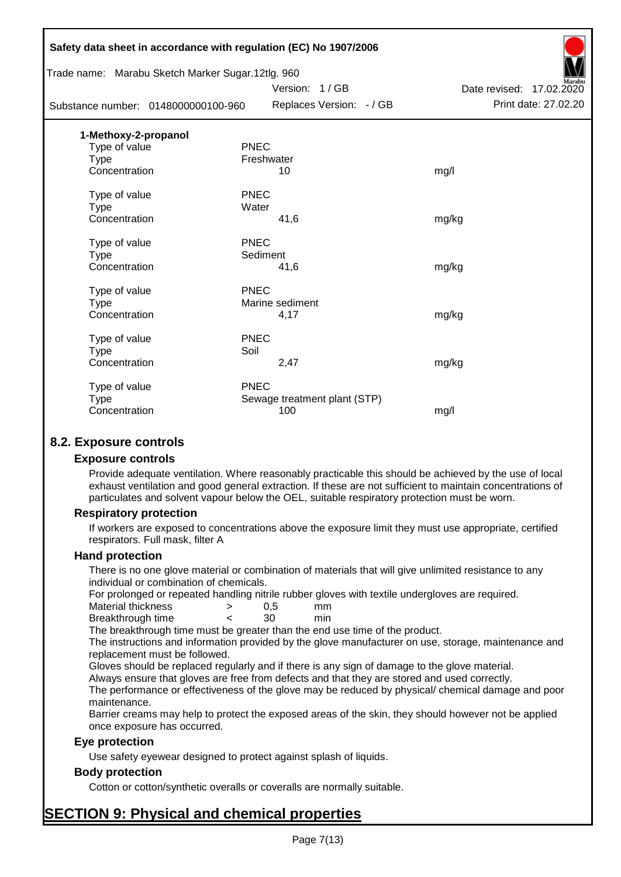|                      | Safety data sheet in accordance with regulation (EC) No 1907/2006 |                              |                          |
|----------------------|-------------------------------------------------------------------|------------------------------|--------------------------|
|                      | Trade name: Marabu Sketch Marker Sugar.12tlg. 960                 |                              |                          |
|                      |                                                                   | Version: 1/GB                | Date revised: 17.02.2020 |
|                      | Substance number: 0148000000100-960                               | Replaces Version: - / GB     | Print date: 27.02.20     |
| 1-Methoxy-2-propanol |                                                                   |                              |                          |
| Type of value        | <b>PNEC</b>                                                       |                              |                          |
| Type                 | Freshwater                                                        |                              |                          |
| Concentration        |                                                                   | 10                           | mg/l                     |
| Type of value        | <b>PNEC</b>                                                       |                              |                          |
| <b>Type</b>          | Water                                                             |                              |                          |
| Concentration        |                                                                   | 41,6                         | mg/kg                    |
| Type of value        | <b>PNEC</b>                                                       |                              |                          |
| <b>Type</b>          | Sediment                                                          |                              |                          |
| Concentration        |                                                                   | 41,6                         | mg/kg                    |
| Type of value        | <b>PNEC</b>                                                       |                              |                          |
| <b>Type</b>          |                                                                   | Marine sediment              |                          |
| Concentration        |                                                                   | 4,17                         | mg/kg                    |
| Type of value        | <b>PNEC</b>                                                       |                              |                          |
| Type                 | Soil                                                              |                              |                          |
| Concentration        |                                                                   | 2,47                         | mg/kg                    |
| Type of value        | <b>PNEC</b>                                                       |                              |                          |
| <b>Type</b>          |                                                                   | Sewage treatment plant (STP) |                          |
| Concentration        |                                                                   | 100                          | mg/l                     |
|                      |                                                                   |                              |                          |

## **8.2. Exposure controls**

#### **Exposure controls**

Provide adequate ventilation. Where reasonably practicable this should be achieved by the use of local exhaust ventilation and good general extraction. If these are not sufficient to maintain concentrations of particulates and solvent vapour below the OEL, suitable respiratory protection must be worn.

#### **Respiratory protection**

If workers are exposed to concentrations above the exposure limit they must use appropriate, certified respirators. Full mask, filter A

#### **Hand protection**

There is no one glove material or combination of materials that will give unlimited resistance to any individual or combination of chemicals.

For prolonged or repeated handling nitrile rubber gloves with textile undergloves are required.

| Material thickness | 0.5 | mm  |
|--------------------|-----|-----|
| Breakthrough time  | 30  | min |

The breakthrough time must be greater than the end use time of the product.

The instructions and information provided by the glove manufacturer on use, storage, maintenance and replacement must be followed.

Gloves should be replaced regularly and if there is any sign of damage to the glove material.

Always ensure that gloves are free from defects and that they are stored and used correctly.

The performance or effectiveness of the glove may be reduced by physical/ chemical damage and poor maintenance.

Barrier creams may help to protect the exposed areas of the skin, they should however not be applied once exposure has occurred.

#### **Eye protection**

Use safety eyewear designed to protect against splash of liquids.

#### **Body protection**

Cotton or cotton/synthetic overalls or coveralls are normally suitable.

## **SECTION 9: Physical and chemical properties**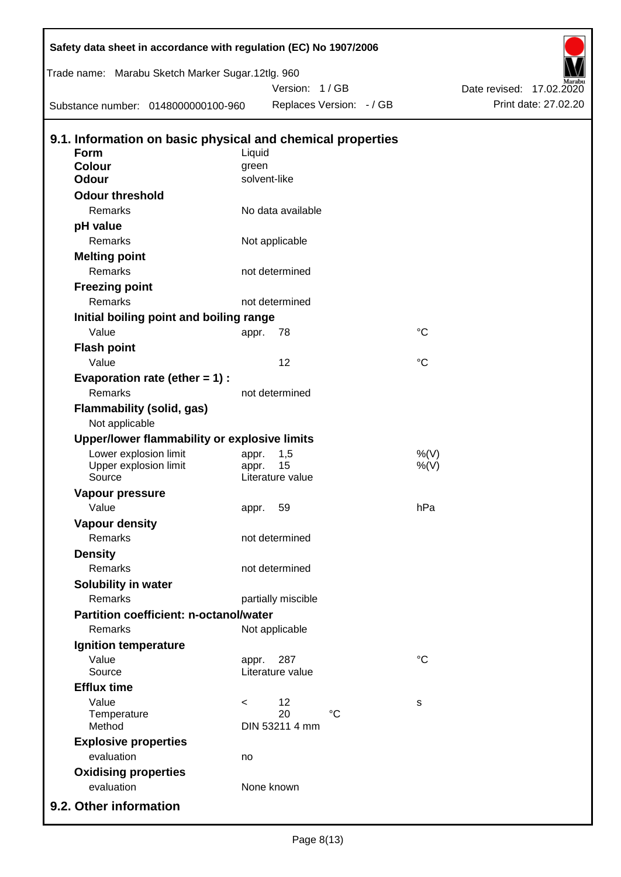| Safety data sheet in accordance with regulation (EC) No 1907/2006  |              |                        |                          |                 |                                                  |
|--------------------------------------------------------------------|--------------|------------------------|--------------------------|-----------------|--------------------------------------------------|
| Trade name: Marabu Sketch Marker Sugar.12tlg. 960                  |              | Version: 1/GB          |                          |                 |                                                  |
| Substance number: 0148000000100-960                                |              |                        | Replaces Version: - / GB |                 | Date revised: 17.02.2020<br>Print date: 27.02.20 |
|                                                                    |              |                        |                          |                 |                                                  |
| 9.1. Information on basic physical and chemical properties<br>Form | Liquid       |                        |                          |                 |                                                  |
| Colour                                                             | green        |                        |                          |                 |                                                  |
| <b>Odour</b>                                                       | solvent-like |                        |                          |                 |                                                  |
| <b>Odour threshold</b>                                             |              |                        |                          |                 |                                                  |
| Remarks                                                            |              | No data available      |                          |                 |                                                  |
| pH value                                                           |              |                        |                          |                 |                                                  |
| Remarks                                                            |              | Not applicable         |                          |                 |                                                  |
| <b>Melting point</b>                                               |              |                        |                          |                 |                                                  |
| Remarks                                                            |              | not determined         |                          |                 |                                                  |
| <b>Freezing point</b>                                              |              |                        |                          |                 |                                                  |
| Remarks                                                            |              | not determined         |                          |                 |                                                  |
| Initial boiling point and boiling range                            |              |                        |                          |                 |                                                  |
| Value                                                              | appr.        | 78                     |                          | $\rm ^{\circ}C$ |                                                  |
| <b>Flash point</b>                                                 |              |                        |                          |                 |                                                  |
| Value                                                              |              | 12                     |                          | $\rm ^{\circ}C$ |                                                  |
| Evaporation rate (ether $= 1$ ) :                                  |              |                        |                          |                 |                                                  |
| Remarks                                                            |              | not determined         |                          |                 |                                                  |
| Flammability (solid, gas)                                          |              |                        |                          |                 |                                                  |
| Not applicable                                                     |              |                        |                          |                 |                                                  |
| Upper/lower flammability or explosive limits                       |              |                        |                          |                 |                                                  |
| Lower explosion limit                                              | appr.        | 1,5                    |                          | %(V)            |                                                  |
| Upper explosion limit<br>Source                                    | appr.        | 15<br>Literature value |                          | $%$ (V)         |                                                  |
| <b>Vapour pressure</b>                                             |              |                        |                          |                 |                                                  |
| Value                                                              | appr.        | 59                     |                          | hPa             |                                                  |
| <b>Vapour density</b>                                              |              |                        |                          |                 |                                                  |
| Remarks                                                            |              | not determined         |                          |                 |                                                  |
| <b>Density</b>                                                     |              |                        |                          |                 |                                                  |
| <b>Remarks</b>                                                     |              | not determined         |                          |                 |                                                  |
| Solubility in water                                                |              |                        |                          |                 |                                                  |
| Remarks                                                            |              | partially miscible     |                          |                 |                                                  |
| <b>Partition coefficient: n-octanol/water</b>                      |              |                        |                          |                 |                                                  |
| Remarks                                                            |              | Not applicable         |                          |                 |                                                  |
|                                                                    |              |                        |                          |                 |                                                  |
| Ignition temperature<br>Value                                      |              | 287                    |                          | $\rm ^{\circ}C$ |                                                  |
| Source                                                             | appr.        | Literature value       |                          |                 |                                                  |
| <b>Efflux time</b>                                                 |              |                        |                          |                 |                                                  |
| Value                                                              | $\,<\,$      | 12                     |                          | s               |                                                  |
| Temperature                                                        |              | 20                     | $^{\circ}C$              |                 |                                                  |
| Method                                                             |              | DIN 53211 4 mm         |                          |                 |                                                  |
| <b>Explosive properties</b>                                        |              |                        |                          |                 |                                                  |
| evaluation                                                         | no           |                        |                          |                 |                                                  |
| <b>Oxidising properties</b>                                        |              |                        |                          |                 |                                                  |
| evaluation                                                         | None known   |                        |                          |                 |                                                  |
| 9.2. Other information                                             |              |                        |                          |                 |                                                  |

Б

 $\mathsf{l}$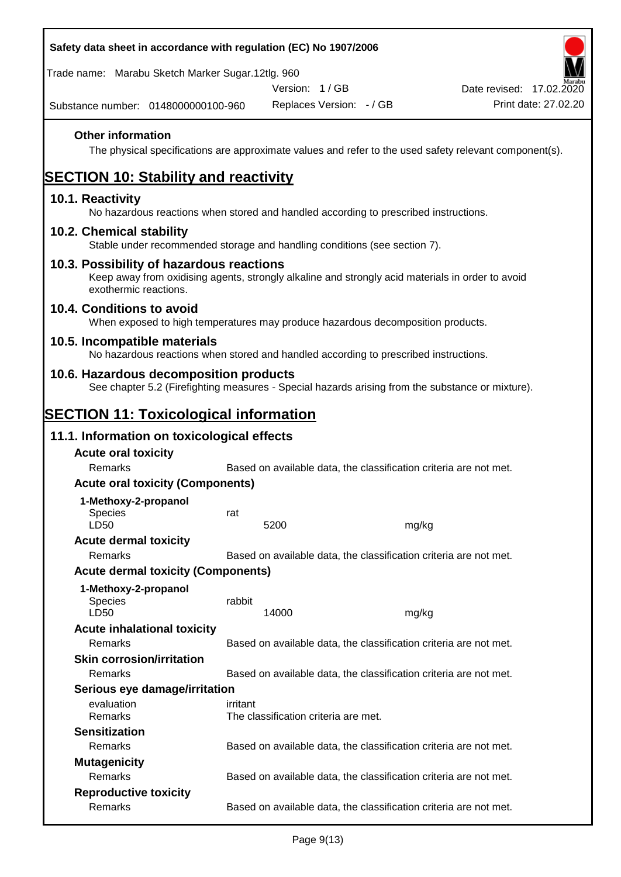| Safety data sheet in accordance with regulation (EC) No 1907/2006                                                                                                     |          |                                      |       |                                                                                                        |
|-----------------------------------------------------------------------------------------------------------------------------------------------------------------------|----------|--------------------------------------|-------|--------------------------------------------------------------------------------------------------------|
| Trade name: Marabu Sketch Marker Sugar.12tlg. 960                                                                                                                     |          |                                      |       |                                                                                                        |
|                                                                                                                                                                       |          | Version: 1/GB                        |       | Date revised: 17.02.2020                                                                               |
| Substance number: 0148000000100-960                                                                                                                                   |          | Replaces Version: - / GB             |       | Print date: 27.02.20                                                                                   |
| <b>Other information</b>                                                                                                                                              |          |                                      |       | The physical specifications are approximate values and refer to the used safety relevant component(s). |
| <b>SECTION 10: Stability and reactivity</b>                                                                                                                           |          |                                      |       |                                                                                                        |
| 10.1. Reactivity<br>No hazardous reactions when stored and handled according to prescribed instructions.                                                              |          |                                      |       |                                                                                                        |
| 10.2. Chemical stability<br>Stable under recommended storage and handling conditions (see section 7).                                                                 |          |                                      |       |                                                                                                        |
| 10.3. Possibility of hazardous reactions<br>Keep away from oxidising agents, strongly alkaline and strongly acid materials in order to avoid<br>exothermic reactions. |          |                                      |       |                                                                                                        |
| 10.4. Conditions to avoid<br>When exposed to high temperatures may produce hazardous decomposition products.                                                          |          |                                      |       |                                                                                                        |
| 10.5. Incompatible materials<br>No hazardous reactions when stored and handled according to prescribed instructions.                                                  |          |                                      |       |                                                                                                        |
| 10.6. Hazardous decomposition products<br>See chapter 5.2 (Firefighting measures - Special hazards arising from the substance or mixture).                            |          |                                      |       |                                                                                                        |
| <b>SECTION 11: Toxicological information</b>                                                                                                                          |          |                                      |       |                                                                                                        |
| 11.1. Information on toxicological effects                                                                                                                            |          |                                      |       |                                                                                                        |
| <b>Acute oral toxicity</b>                                                                                                                                            |          |                                      |       |                                                                                                        |
| Remarks                                                                                                                                                               |          |                                      |       | Based on available data, the classification criteria are not met.                                      |
| <b>Acute oral toxicity (Components)</b>                                                                                                                               |          |                                      |       |                                                                                                        |
| 1-Methoxy-2-propanol                                                                                                                                                  |          |                                      |       |                                                                                                        |
| <b>Species</b><br>LD50                                                                                                                                                | rat      | 5200                                 |       |                                                                                                        |
| <b>Acute dermal toxicity</b>                                                                                                                                          |          |                                      | mg/kg |                                                                                                        |
| Remarks                                                                                                                                                               |          |                                      |       | Based on available data, the classification criteria are not met.                                      |
| <b>Acute dermal toxicity (Components)</b>                                                                                                                             |          |                                      |       |                                                                                                        |
| 1-Methoxy-2-propanol<br>Species<br>LD50                                                                                                                               | rabbit   | 14000                                | mg/kg |                                                                                                        |
| <b>Acute inhalational toxicity</b>                                                                                                                                    |          |                                      |       |                                                                                                        |
| Remarks                                                                                                                                                               |          |                                      |       | Based on available data, the classification criteria are not met.                                      |
| <b>Skin corrosion/irritation</b>                                                                                                                                      |          |                                      |       |                                                                                                        |
| Remarks                                                                                                                                                               |          |                                      |       | Based on available data, the classification criteria are not met.                                      |
| Serious eye damage/irritation                                                                                                                                         |          |                                      |       |                                                                                                        |
| evaluation<br>Remarks                                                                                                                                                 | irritant | The classification criteria are met. |       |                                                                                                        |
| <b>Sensitization</b>                                                                                                                                                  |          |                                      |       |                                                                                                        |
| Remarks                                                                                                                                                               |          |                                      |       | Based on available data, the classification criteria are not met.                                      |
| <b>Mutagenicity</b><br>Remarks                                                                                                                                        |          |                                      |       |                                                                                                        |
| <b>Reproductive toxicity</b>                                                                                                                                          |          |                                      |       | Based on available data, the classification criteria are not met.                                      |
| Remarks                                                                                                                                                               |          |                                      |       | Based on available data, the classification criteria are not met.                                      |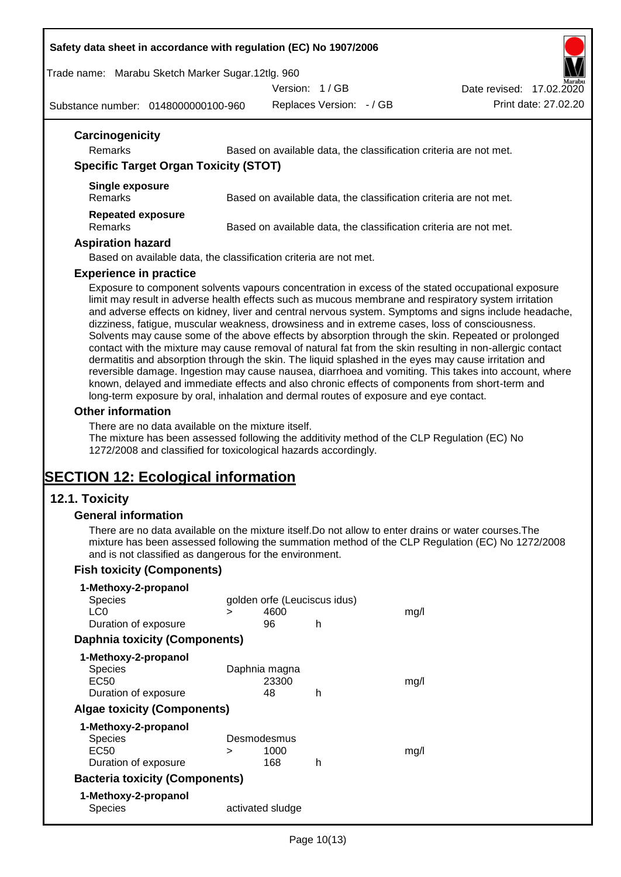#### **Safety data sheet in accordance with regulation (EC) No 1907/2006**

Trade name: Marabu Sketch Marker Sugar.12tlg. 960

Version: 1 / GB

Date revised: 17.02.2020

Substance number: 0148000000100-960

Replaces Version: - / GB Print date: 27.02.20

| Carcinogenicity                              |                                                                   |
|----------------------------------------------|-------------------------------------------------------------------|
| <b>Remarks</b>                               | Based on available data, the classification criteria are not met. |
| <b>Specific Target Organ Toxicity (STOT)</b> |                                                                   |
| Single exposure                              |                                                                   |
| <b>Remarks</b>                               | Based on available data, the classification criteria are not met. |
| <b>Repeated exposure</b>                     |                                                                   |
| <b>Remarks</b>                               | Based on available data, the classification criteria are not met. |
| <b>Aspiration hazard</b>                     |                                                                   |
|                                              | Based on available data, the classification criteria are not met. |

#### **Experience in practice**

Exposure to component solvents vapours concentration in excess of the stated occupational exposure limit may result in adverse health effects such as mucous membrane and respiratory system irritation and adverse effects on kidney, liver and central nervous system. Symptoms and signs include headache, dizziness, fatigue, muscular weakness, drowsiness and in extreme cases, loss of consciousness. Solvents may cause some of the above effects by absorption through the skin. Repeated or prolonged contact with the mixture may cause removal of natural fat from the skin resulting in non-allergic contact dermatitis and absorption through the skin. The liquid splashed in the eyes may cause irritation and reversible damage. Ingestion may cause nausea, diarrhoea and vomiting. This takes into account, where known, delayed and immediate effects and also chronic effects of components from short-term and long-term exposure by oral, inhalation and dermal routes of exposure and eye contact.

#### **Other information**

There are no data available on the mixture itself.

The mixture has been assessed following the additivity method of the CLP Regulation (EC) No 1272/2008 and classified for toxicological hazards accordingly.

## **SECTION 12: Ecological information**

#### **12.1. Toxicity**

#### **General information**

There are no data available on the mixture itself.Do not allow to enter drains or water courses.The mixture has been assessed following the summation method of the CLP Regulation (EC) No 1272/2008 and is not classified as dangerous for the environment.

#### **Fish toxicity (Components)**

| 1-Methoxy-2-propanol                  |                              |                  |   |      |  |
|---------------------------------------|------------------------------|------------------|---|------|--|
| <b>Species</b>                        | golden orfe (Leuciscus idus) |                  |   |      |  |
| LC <sub>0</sub>                       | ⋗                            | 4600             |   | mq/l |  |
| Duration of exposure                  |                              | 96               | h |      |  |
| <b>Daphnia toxicity (Components)</b>  |                              |                  |   |      |  |
| 1-Methoxy-2-propanol                  |                              |                  |   |      |  |
| <b>Species</b>                        |                              | Daphnia magna    |   |      |  |
| EC50                                  |                              | 23300            |   | mq/1 |  |
| Duration of exposure                  |                              | 48               | h |      |  |
| <b>Algae toxicity (Components)</b>    |                              |                  |   |      |  |
| 1-Methoxy-2-propanol                  |                              |                  |   |      |  |
| <b>Species</b>                        |                              | Desmodesmus      |   |      |  |
| EC50                                  | ⋗                            | 1000             |   | mq/1 |  |
| Duration of exposure                  |                              | 168              | h |      |  |
| <b>Bacteria toxicity (Components)</b> |                              |                  |   |      |  |
| 1-Methoxy-2-propanol                  |                              |                  |   |      |  |
| Species                               |                              | activated sludge |   |      |  |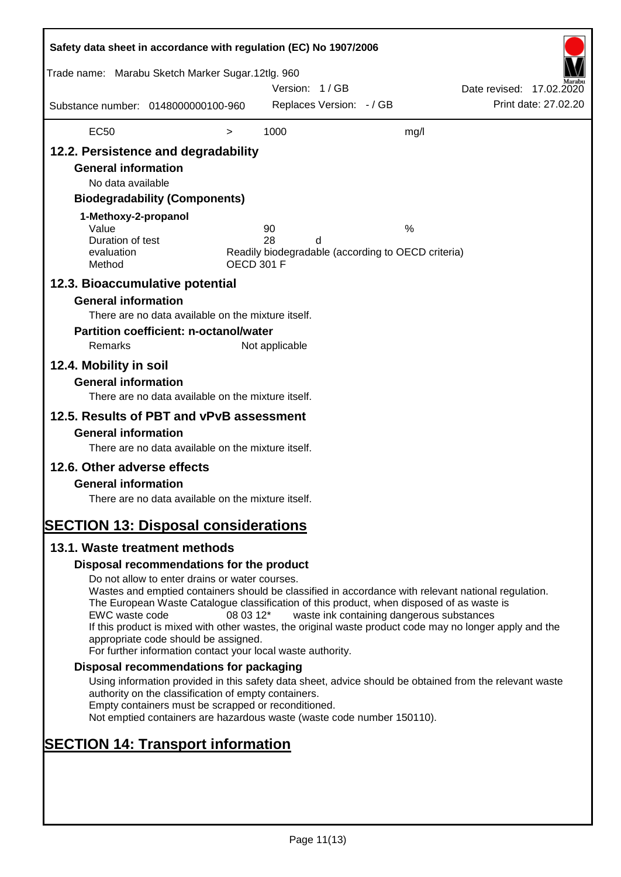| Safety data sheet in accordance with regulation (EC) No 1907/2006                                                                                                                                      |                                                                                                                                                                                                                                                                                                                                                                                                                                                                      |                   |                |                          |                                                         |                          |                      |
|--------------------------------------------------------------------------------------------------------------------------------------------------------------------------------------------------------|----------------------------------------------------------------------------------------------------------------------------------------------------------------------------------------------------------------------------------------------------------------------------------------------------------------------------------------------------------------------------------------------------------------------------------------------------------------------|-------------------|----------------|--------------------------|---------------------------------------------------------|--------------------------|----------------------|
| Trade name: Marabu Sketch Marker Sugar.12tlg. 960                                                                                                                                                      |                                                                                                                                                                                                                                                                                                                                                                                                                                                                      |                   | Version: 1/GB  |                          |                                                         | Date revised: 17.02.2020 |                      |
| Substance number: 0148000000100-960                                                                                                                                                                    |                                                                                                                                                                                                                                                                                                                                                                                                                                                                      |                   |                | Replaces Version: - / GB |                                                         |                          | Print date: 27,02.20 |
| <b>EC50</b>                                                                                                                                                                                            |                                                                                                                                                                                                                                                                                                                                                                                                                                                                      | $\, > \,$         | 1000           |                          | mg/l                                                    |                          |                      |
| 12.2. Persistence and degradability<br><b>General information</b><br>No data available<br>1-Methoxy-2-propanol<br>Value<br>Duration of test<br>evaluation<br>Method<br>12.3. Bioaccumulative potential | <b>Biodegradability (Components)</b>                                                                                                                                                                                                                                                                                                                                                                                                                                 | <b>OECD 301 F</b> | 90<br>28       | d                        | %<br>Readily biodegradable (according to OECD criteria) |                          |                      |
| <b>General information</b><br>Remarks<br>12.4. Mobility in soil<br><b>General information</b>                                                                                                          | There are no data available on the mixture itself.<br><b>Partition coefficient: n-octanol/water</b>                                                                                                                                                                                                                                                                                                                                                                  |                   | Not applicable |                          |                                                         |                          |                      |
| 12.5. Results of PBT and vPvB assessment<br><b>General information</b>                                                                                                                                 | There are no data available on the mixture itself.<br>There are no data available on the mixture itself.                                                                                                                                                                                                                                                                                                                                                             |                   |                |                          |                                                         |                          |                      |
| 12.6. Other adverse effects<br><b>General information</b><br><b>SECTION 13: Disposal considerations</b>                                                                                                | There are no data available on the mixture itself.                                                                                                                                                                                                                                                                                                                                                                                                                   |                   |                |                          |                                                         |                          |                      |
| 13.1. Waste treatment methods                                                                                                                                                                          |                                                                                                                                                                                                                                                                                                                                                                                                                                                                      |                   |                |                          |                                                         |                          |                      |
|                                                                                                                                                                                                        | Disposal recommendations for the product                                                                                                                                                                                                                                                                                                                                                                                                                             |                   |                |                          |                                                         |                          |                      |
| EWC waste code                                                                                                                                                                                         | Do not allow to enter drains or water courses.<br>Wastes and emptied containers should be classified in accordance with relevant national regulation.<br>The European Waste Catalogue classification of this product, when disposed of as waste is<br>If this product is mixed with other wastes, the original waste product code may no longer apply and the<br>appropriate code should be assigned.<br>For further information contact your local waste authority. | 08 03 12*         |                |                          | waste ink containing dangerous substances               |                          |                      |
|                                                                                                                                                                                                        | Disposal recommendations for packaging                                                                                                                                                                                                                                                                                                                                                                                                                               |                   |                |                          |                                                         |                          |                      |
|                                                                                                                                                                                                        | Using information provided in this safety data sheet, advice should be obtained from the relevant waste<br>authority on the classification of empty containers.<br>Empty containers must be scrapped or reconditioned.<br>Not emptied containers are hazardous waste (waste code number 150110).                                                                                                                                                                     |                   |                |                          |                                                         |                          |                      |
| <b>SECTION 14: Transport information</b>                                                                                                                                                               |                                                                                                                                                                                                                                                                                                                                                                                                                                                                      |                   |                |                          |                                                         |                          |                      |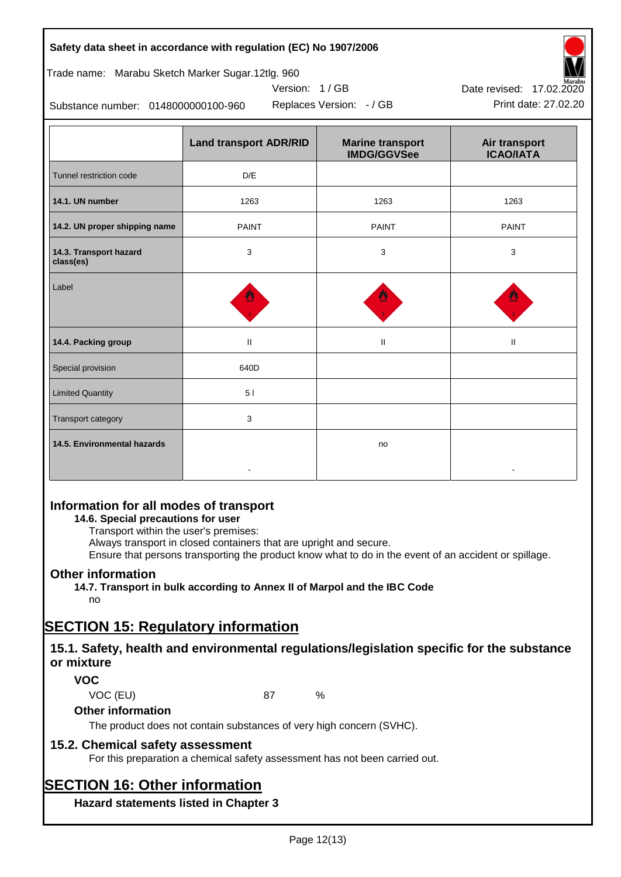#### **Safety data sheet in accordance with regulation (EC) No 1907/2006**

### Trade name: Marabu Sketch Marker Sugar.12tlg. 960

Substance number: 0148000000100-960

|                                     | <b>Land transport ADR/RID</b> | <b>Marine transport</b><br><b>IMDG/GGVSee</b> | Air transport<br><b>ICAO/IATA</b> |  |
|-------------------------------------|-------------------------------|-----------------------------------------------|-----------------------------------|--|
| Tunnel restriction code             | D/E                           |                                               |                                   |  |
| 14.1. UN number                     | 1263                          | 1263                                          | 1263                              |  |
| 14.2. UN proper shipping name       | <b>PAINT</b>                  | <b>PAINT</b>                                  | <b>PAINT</b>                      |  |
| 14.3. Transport hazard<br>class(es) | 3                             | 3                                             | 3                                 |  |
| Label                               |                               |                                               |                                   |  |
| 14.4. Packing group                 | $\mathbf{H}$                  | $\mathbf{H}$                                  | $\mathbf{H}$                      |  |
| Special provision                   | 640D                          |                                               |                                   |  |
| <b>Limited Quantity</b>             | 51                            |                                               |                                   |  |
| Transport category                  | 3                             |                                               |                                   |  |
| 14.5. Environmental hazards         |                               | no                                            |                                   |  |

Version: 1 / GB

## **Information for all modes of transport**

### **14.6. Special precautions for user**

Transport within the user's premises:

Always transport in closed containers that are upright and secure.

Ensure that persons transporting the product know what to do in the event of an accident or spillage.

## **Other information**

**14.7. Transport in bulk according to Annex II of Marpol and the IBC Code**

## no

## **SECTION 15: Regulatory information**

## **15.1. Safety, health and environmental regulations/legislation specific for the substance or mixture**

## **VOC**

VOC (EU) 87 %

#### **Other information**

The product does not contain substances of very high concern (SVHC).

## **15.2. Chemical safety assessment**

For this preparation a chemical safety assessment has not been carried out.

# **SECTION 16: Other information**

**Hazard statements listed in Chapter 3**



Replaces Version: - / GB Print date: 27.02.20 Date revised: 17.02.2020